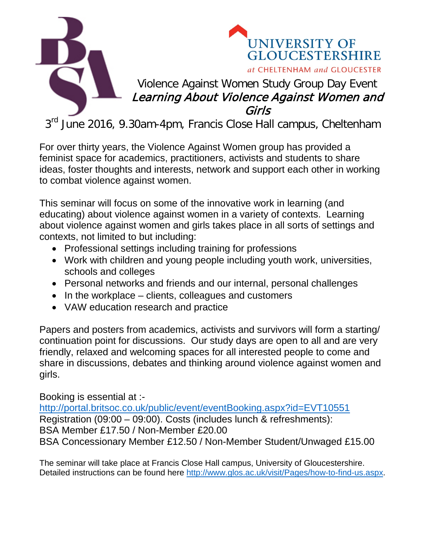



## Violence Against Women Study Group Day Event Learning About Violence Against Women and Girls

3<sup>rd</sup> June 2016, 9.30am-4pm, Francis Close Hall campus, Cheltenham

For over thirty years, the Violence Against Women group has provided a feminist space for academics, practitioners, activists and students to share ideas, foster thoughts and interests, network and support each other in working to combat violence against women.

This seminar will focus on some of the innovative work in learning (and educating) about violence against women in a variety of contexts. Learning about violence against women and girls takes place in all sorts of settings and contexts, not limited to but including:

- Professional settings including training for professions
- Work with children and young people including youth work, universities, schools and colleges
- Personal networks and friends and our internal, personal challenges
- In the workplace clients, colleagues and customers
- VAW education research and practice

Papers and posters from academics, activists and survivors will form a starting/ continuation point for discussions. Our study days are open to all and are very friendly, relaxed and welcoming spaces for all interested people to come and share in discussions, debates and thinking around violence against women and girls.

Booking is essential at :-

<http://portal.britsoc.co.uk/public/event/eventBooking.aspx?id=EVT10551> Registration (09:00 – 09:00). Costs (includes lunch & refreshments): BSA Member £17.50 / Non-Member £20.00 BSA Concessionary Member £12.50 / Non-Member Student/Unwaged £15.00

The seminar will take place at Francis Close Hall campus, University of Gloucestershire. Detailed instructions can be found here [http://www.glos.ac.uk/visit/Pages/how-to-find-us.aspx.](http://www.glos.ac.uk/visit/Pages/how-to-find-us.aspx)